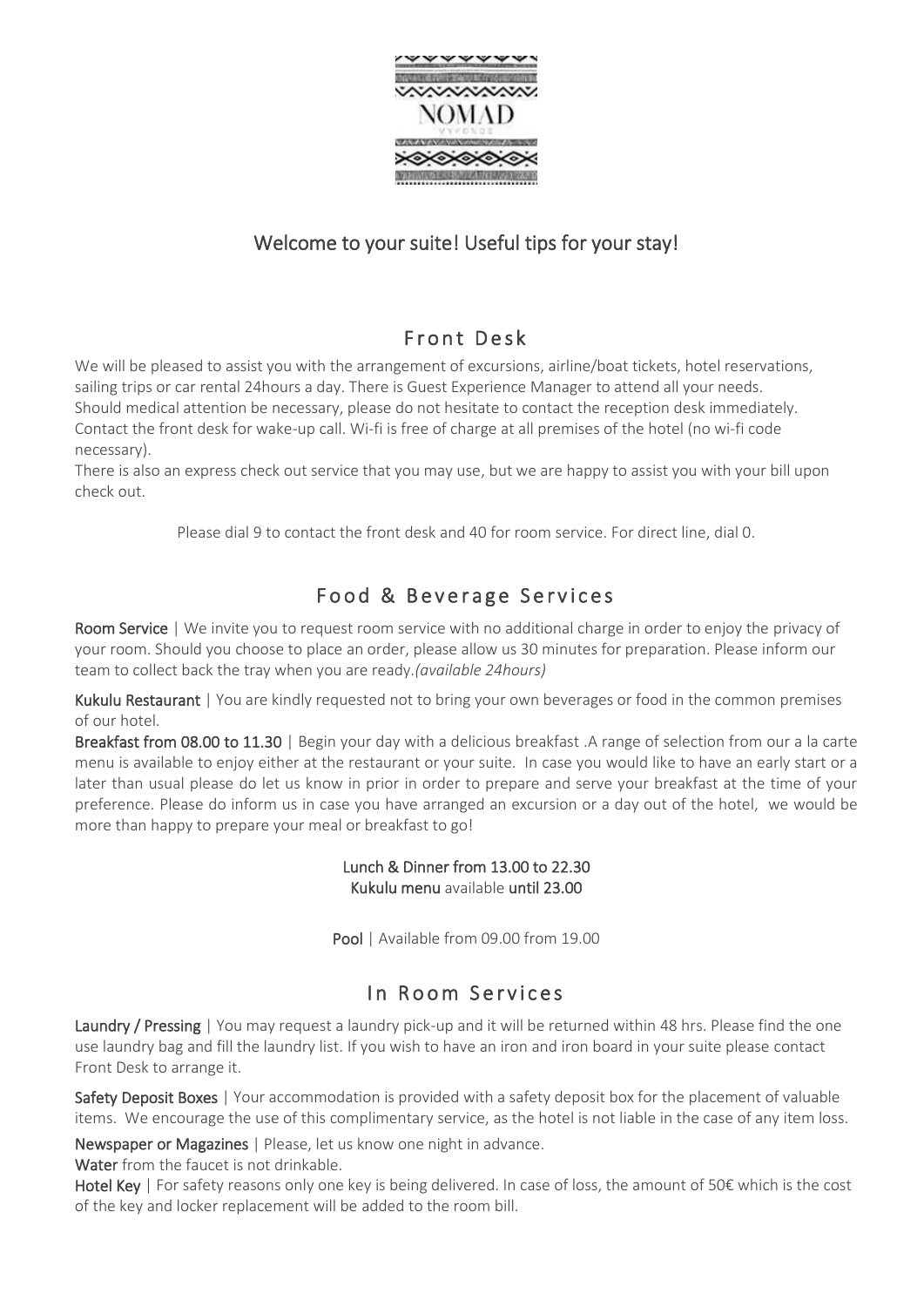

## Welcome to your suite! Useful tips for your stay!

## Front Desk

We will be pleased to assist you with the arrangement of excursions, airline/boat tickets, hotel reservations, sailing trips or car rental 24hours a day. There is Guest Experience Manager to attend all your needs. Should medical attention be necessary, please do not hesitate to contact the reception desk immediately. Contact the front desk for wake-up call. Wi-fi is free of charge at all premises of the hotel (no wi-fi code necessary).

There is also an express check out service that you may use, but we are happy to assist you with your bill upon check out.

Please dial 9 to contact the front desk and 40 for room service. For direct line, dial 0.

## Food & Beverage Services

Room Service | We invite you to request room service with no additional charge in order to enjoy the privacy of your room. Should you choose to place an order, please allow us 30 minutes for preparation. Please inform our team to collect back the tray when you are ready.*(available 24hours)* 

Kukulu Restaurant | You are kindly requested not to bring your own beverages or food in the common premises of our hotel.

Breakfast from 08.00 to 11.30 | Begin your day with a delicious breakfast .A range of selection from our a la carte menu is available to enjoy either at the restaurant or your suite. In case you would like to have an early start or a later than usual please do let us know in prior in order to prepare and serve your breakfast at the time of your preference. Please do inform us in case you have arranged an excursion or a day out of the hotel, we would be more than happy to prepare your meal or breakfast to go!

#### Lunch & Dinner from 13.00 to 22.30 Kukulu menu available until 23.00

Pool | Available from 09.00 from 19.00

# In Room Services

Laundry / Pressing | You may request a laundry pick-up and it will be returned within 48 hrs. Please find the one use laundry bag and fill the laundry list. If you wish to have an iron and iron board in your suite please contact Front Desk to arrange it.

Safety Deposit Boxes | Your accommodation is provided with a safety deposit box for the placement of valuable items. We encourage the use of this complimentary service, as the hotel is not liable in the case of any item loss.

Newspaper or Magazines | Please, let us know one night in advance.

Water from the faucet is not drinkable.

Hotel Key | For safety reasons only one key is being delivered. In case of loss, the amount of 50€ which is the cost of the key and locker replacement will be added to the room bill.